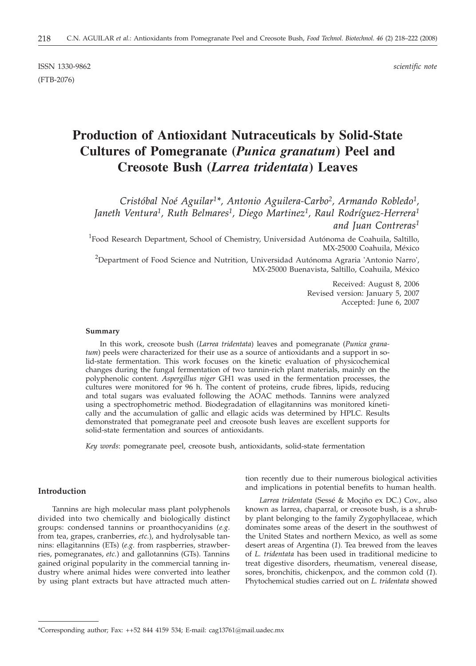ISSN 1330-9862 *scientific note* (FTB-2076)

# **Production of Antioxidant Nutraceuticals by Solid-State Cultures of Pomegranate (***Punica granatum***) Peel and Creosote Bush (***Larrea tridentata***) Leaves**

*Cristóbal Noé Aguilar1\*, Antonio Aguilera-Carbo2, Armando Robledo1, Janeth Ventura1, Ruth Belmares1, Diego Martinez1, Raul Rodríguez-Herrera1 and Juan Contreras1*

 ${}^{1}$ Food Research Department, School of Chemistry, Universidad Autónoma de Coahuila, Saltillo, MX-25000 Coahuila, México

 $^{2}$ Department of Food Science and Nutrition, Universidad Autónoma Agraria 'Antonio Narro', MX-25000 Buenavista, Saltillo, Coahuila, México

> Received: August 8, 2006 Revised version: January 5, 2007 Accepted: June 6, 2007

#### **Summary**

In this work, creosote bush (*Larrea tridentata*) leaves and pomegranate (*Punica granatum*) peels were characterized for their use as a source of antioxidants and a support in solid-state fermentation. This work focuses on the kinetic evaluation of physicochemical changes during the fungal fermentation of two tannin-rich plant materials, mainly on the polyphenolic content. *Aspergillus niger* GH1 was used in the fermentation processes, the cultures were monitored for 96 h. The content of proteins, crude fibres, lipids, reducing and total sugars was evaluated following the AOAC methods. Tannins were analyzed using a spectrophometric method. Biodegradation of ellagitannins was monitored kinetically and the accumulation of gallic and ellagic acids was determined by HPLC. Results demonstrated that pomegranate peel and creosote bush leaves are excellent supports for solid-state fermentation and sources of antioxidants.

*Key words*: pomegranate peel, creosote bush, antioxidants, solid-state fermentation

# **Introduction**

Tannins are high molecular mass plant polyphenols divided into two chemically and biologically distinct groups: condensed tannins or proanthocyanidins (*e.g.* from tea, grapes, cranberries, *etc.*), and hydrolysable tannins: ellagitannins (ETs) (*e.g.* from raspberries, strawberries, pomegranates, *etc.*) and gallotannins (GTs). Tannins gained original popularity in the commercial tanning industry where animal hides were converted into leather by using plant extracts but have attracted much atten-

tion recently due to their numerous biological activities and implications in potential benefits to human health.

*Larrea tridentata* (Sessé & Moçiño ex DC.) Cov., also known as larrea, chaparral, or creosote bush, is a shrubby plant belonging to the family Zygophyllaceae, which dominates some areas of the desert in the southwest of the United States and northern Mexico, as well as some desert areas of Argentina (*1*). Tea brewed from the leaves of *L. tridentata* has been used in traditional medicine to treat digestive disorders, rheumatism, venereal disease, sores, bronchitis, chickenpox, and the common cold (*1*). Phytochemical studies carried out on *L. tridentata* showed

<sup>\*</sup>Corresponding author; Fax: ++52 844 4159 534; E-mail: cag13761*@*mail.uadec.mx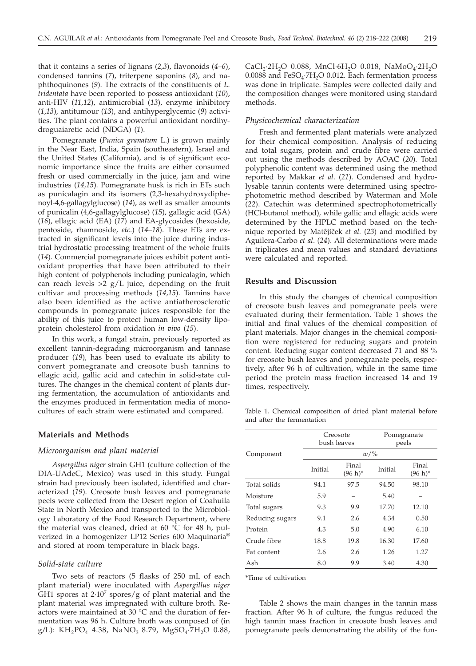that it contains a series of lignans (*2,3*), flavonoids (*4–6*), condensed tannins (*7*), triterpene saponins (*8*), and naphthoquinones (*9*). The extracts of the constituents of *L. tridentata* have been reported to possess antioxidant (*10*), anti-HIV (*11,12*), antimicrobial (*13*), enzyme inhibitory (*1*,*13*), antitumour (*13*), and antihyperglycemic (*9*) activities. The plant contains a powerful antioxidant nordihydroguaiaretic acid (NDGA) (*1*).

Pomegranate (*Punica granatum* L.) is grown mainly in the Near East, India, Spain (southeastern), Israel and the United States (California), and is of significant economic importance since the fruits are either consumed fresh or used commercially in the juice, jam and wine industries (*14,15*). Pomegranate husk is rich in ETs such as punicalagin and its isomers (2,3-hexahydroxydiphenoyl-4,6-gallagylglucose) (*14*), as well as smaller amounts of punicalin (4,6-gallagylglucose) (*15*), gallagic acid (GA) (*16*), ellagic acid (EA) (*17*) and EA-glycosides (hexoside, pentoside, rhamnoside, *etc*.) (*14–18*). These ETs are extracted in significant levels into the juice during industrial hydrostatic processing treatment of the whole fruits (*14*). Commercial pomegranate juices exhibit potent antioxidant properties that have been attributed to their high content of polyphenols including punicalagin, which can reach levels  $>2$  g/L juice, depending on the fruit cultivar and processing methods (*14,15*). Tannins have also been identified as the active antiatherosclerotic compounds in pomegranate juices responsible for the ability of this juice to protect human low-density lipoprotein cholesterol from oxidation *in vivo* (*15*).

In this work, a fungal strain, previously reported as excellent tannin-degrading microorganism and tannase producer (*19*), has been used to evaluate its ability to convert pomegranate and creosote bush tannins to ellagic acid, gallic acid and catechin in solid-state cultures. The changes in the chemical content of plants during fermentation, the accumulation of antioxidants and the enzymes produced in fermentation media of monocultures of each strain were estimated and compared.

## **Materials and Methods**

# *Microorganism and plant material*

*Aspergillus niger* strain GH1 (culture collection of the DIA-UAdeC, Mexico) was used in this study. Fungal strain had previously been isolated, identified and characterized (*19*). Creosote bush leaves and pomegranate peels were collected from the Desert region of Coahuila State in North Mexico and transported to the Microbiology Laboratory of the Food Research Department, where the material was cleaned, dried at 60 °C for 48 h, pulverized in a homogenizer LP12 Series 600 Maquinaria® and stored at room temperature in black bags.

#### *Solid-state culture*

Two sets of reactors (5 flasks of 250 mL of each plant material) were inoculated with *Aspergillus niger* GH1 spores at  $2.10<sup>7</sup>$  spores/g of plant material and the plant material was impregnated with culture broth. Reactors were maintained at 30 °C and the duration of fermentation was 96 h. Culture broth was composed of (in g/L): KH<sub>2</sub>PO<sub>4</sub> 4.38, NaNO<sub>3</sub> 8.79, MgSO<sub>4</sub>·7H<sub>2</sub>O 0.88,

 $CaCl<sub>2</sub>·2H<sub>2</sub>O$  0.088, MnCl·6H<sub>2</sub>O 0.018, NaMoO<sub>4</sub>·2H<sub>2</sub>O 0.0088 and  $FeSO_4$ : $7H_2O$  0.012. Each fermentation process was done in triplicate. Samples were collected daily and the composition changes were monitored using standard methods.

#### *Physicochemical characterization*

Fresh and fermented plant materials were analyzed for their chemical composition. Analysis of reducing and total sugars, protein and crude fibre were carried out using the methods described by AOAC (*20*). Total polyphenolic content was determined using the method reported by Makkar *et al*. (*21*). Condensed and hydrolysable tannin contents were determined using spectrophotometric method described by Waterman and Mole (*22*). Catechin was determined spectrophotometrically (HCl-butanol method), while gallic and ellagic acids were determined by the HPLC method based on the technique reported by Matêjíček et al. (23) and modified by Aguilera-Carbo *et al*. (*24*). All determinations were made in triplicates and mean values and standard deviations were calculated and reported.

#### **Results and Discussion**

In this study the changes of chemical composition of creosote bush leaves and pomegranate peels were evaluated during their fermentation. Table 1 shows the initial and final values of the chemical composition of plant materials. Major changes in the chemical composition were registered for reducing sugars and protein content. Reducing sugar content decreased 71 and 88 % for creosote bush leaves and pomegranate peels, respectively, after 96 h of cultivation, while in the same time period the protein mass fraction increased 14 and 19 times, respectively.

Table 1. Chemical composition of dried plant material before and after the fermentation

|                 | Creosote<br>bush leaves |                     | Pomegranate<br>peels |                     |  |  |
|-----------------|-------------------------|---------------------|----------------------|---------------------|--|--|
| Component       | $w/\%$                  |                     |                      |                     |  |  |
|                 | Initial                 | Final<br>$(96 h)^*$ | Initial              | Final<br>$(96 h)^*$ |  |  |
| Total solids    | 94.1                    | 97.5                | 94.50                | 98.10               |  |  |
| Moisture        | 5.9                     |                     | 5.40                 |                     |  |  |
| Total sugars    | 9.3                     | 9.9                 | 17.70                | 12.10               |  |  |
| Reducing sugars | 9.1                     | 2.6                 | 4.34                 | 0.50                |  |  |
| Protein         | 4.3                     | 5.0                 | 4.90                 | 6.10                |  |  |
| Crude fibre     | 18.8                    | 19.8                | 16.30                | 17.60               |  |  |
| Fat content     | 2.6                     | 2.6                 | 1.26                 | 1.27                |  |  |
| Ash             | 8.0                     | 9.9                 | 3.40                 | 4.30                |  |  |

\*Time of cultivation

Table 2 shows the main changes in the tannin mass fraction. After 96 h of culture, the fungus reduced the high tannin mass fraction in creosote bush leaves and pomegranate peels demonstrating the ability of the fun-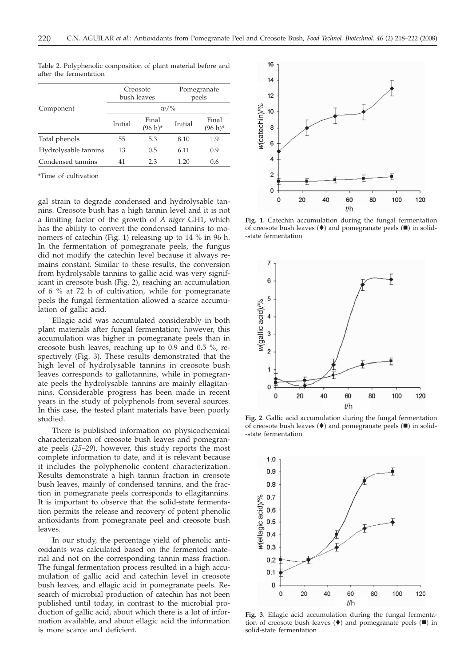|                      | Creosote<br>bush leaves |                     | Pomegranate<br>peels |                     |  |
|----------------------|-------------------------|---------------------|----------------------|---------------------|--|
| Component            | $w/\%$                  |                     |                      |                     |  |
|                      | Initial                 | Final<br>$(96 h)^*$ | Initial              | Final<br>$(96 h)^*$ |  |
| Total phenols        | 55                      | 5.3                 | 8.10                 | 1.9                 |  |
| Hydrolysable tannins | 13                      | 0.5                 | 6.11                 | 0.9                 |  |
| Condensed tannins    | 41                      | 2.3                 | 1.20                 | 0.6                 |  |
|                      |                         |                     |                      |                     |  |

Table 2. Polyphenolic composition of plant material before and after the fermentation

\*Time of cultivation

gal strain to degrade condensed and hydrolysable tannins. Creosote bush has a high tannin level and it is not a limiting factor of the growth of *A niger* GH1, which has the ability to convert the condensed tannins to monomers of catechin (Fig. 1) releasing up to 14 % in 96 h. In the fermentation of pomegranate peels, the fungus did not modify the catechin level because it always remains constant. Similar to these results, the conversion from hydrolysable tannins to gallic acid was very significant in creosote bush (Fig. 2), reaching an accumulation of 6 % at 72 h of cultivation, while for pomegranate peels the fungal fermentation allowed a scarce accumulation of gallic acid.

Ellagic acid was accumulated considerably in both plant materials after fungal fermentation; however, this accumulation was higher in pomegranate peels than in creosote bush leaves, reaching up to 0.9 and 0.5 %, respectively (Fig. 3). These results demonstrated that the high level of hydrolysable tannins in creosote bush leaves corresponds to gallotannins, while in pomegranate peels the hydrolysable tannins are mainly ellagitannins. Considerable progress has been made in recent years in the study of polyphenols from several sources. In this case, the tested plant materials have been poorly studied.

There is published information on physicochemical characterization of creosote bush leaves and pomegranate peels (*25–29*), however, this study reports the most complete information to date, and it is relevant because it includes the polyphenolic content characterization. Results demonstrate a high tannin fraction in creosote bush leaves, mainly of condensed tannins, and the fraction in pomegranate peels corresponds to ellagitannins. It is important to observe that the solid-state fermentation permits the release and recovery of potent phenolic antioxidants from pomegranate peel and creosote bush leaves.

In our study, the percentage yield of phenolic antioxidants was calculated based on the fermented material and not on the corresponding tannin mass fraction. The fungal fermentation process resulted in a high accumulation of gallic acid and catechin level in creosote bush leaves, and ellagic acid in pomegranate peels. Research of microbial production of catechin has not been published until today, in contrast to the microbial production of gallic acid, about which there is a lot of information available, and about ellagic acid the information is more scarce and deficient.



**Fig. 1**. Catechin accumulation during the fungal fermentation of creosote bush leaves  $(\blacklozenge)$  and pomegranate peels  $(\blacksquare)$  in solid--state fermentation



**Fig. 2**. Gallic acid accumulation during the fungal fermentation of creosote bush leaves  $(\blacklozenge)$  and pomegranate peels  $(\blacksquare)$  in solid--state fermentation



**Fig. 3**. Ellagic acid accumulation during the fungal fermentation of creosote bush leaves  $(\blacklozenge)$  and pomegranate peels  $(\blacksquare)$  in solid-state fermentation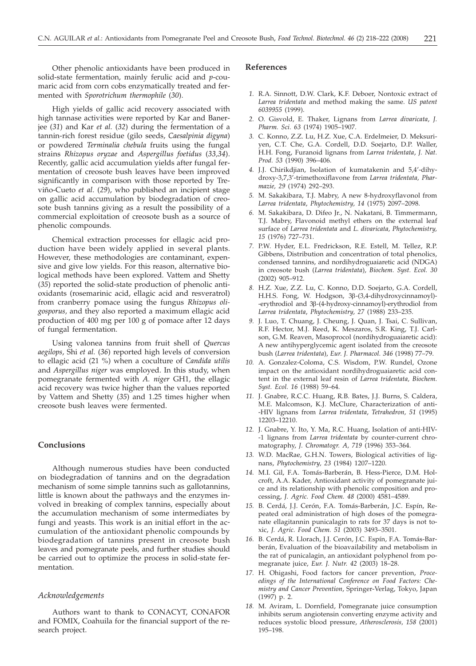Other phenolic antioxidants have been produced in solid-state fermentation, mainly ferulic acid and *p*-coumaric acid from corn cobs enzymatically treated and fermented with *Sporotrichum thermophile* (*30*).

High yields of gallic acid recovery associated with high tannase activities were reported by Kar and Banerjee (*31*) and Kar *et al.* (*32*) during the fermentation of a tannin-rich forest residue (gilo seeds, *Caesalpinia digyna*) or powdered *Terminalia chebula* fruits using the fungal strains *Rhizopus oryzae* and *Aspergillus foetidus* (*33,34*). Recently, gallic acid accumulation yields after fungal fermentation of creosote bush leaves have been improved significantly in comparison with those reported by Treviño-Cueto *et al*. (*29*), who published an incipient stage on gallic acid accumulation by biodegradation of creosote bush tannins giving as a result the possibility of a commercial exploitation of creosote bush as a source of phenolic compounds.

Chemical extraction processes for ellagic acid production have been widely applied in several plants. However, these methodologies are contaminant, expensive and give low yields. For this reason, alternative biological methods have been explored. Vattem and Shetty (*35*) reported the solid-state production of phenolic antioxidants (rosemarinic acid, ellagic acid and resveratrol) from cranberry pomace using the fungus *Rhizopus oligosporus,* and they also reported a maximum ellagic acid production of 400 mg per 100 g of pomace after 12 days of fungal fermentation.

Using valonea tannins from fruit shell of *Quercus aegilops*, Shi *et al.* (*36*) reported high levels of conversion to ellagic acid (21 %) when a coculture of *Candida utilis* and *Aspergillus niger* was employed. In this study, when pomegranate fermented with *A. niger* GH1, the ellagic acid recovery was twice higher than the values reported by Vattem and Shetty (*35*) and 1.25 times higher when creosote bush leaves were fermented.

# **Conclusions**

Although numerous studies have been conducted on biodegradation of tannins and on the degradation mechanism of some simple tannins such as gallotannins, little is known about the pathways and the enzymes involved in breaking of complex tannins, especially about the accumulation mechanism of some intermediates by fungi and yeasts. This work is an initial effort in the accumulation of the antioxidant phenolic compounds by biodegradation of tannins present in creosote bush leaves and pomegranate peels, and further studies should be carried out to optimize the process in solid-state fermentation.

## *Acknowledgements*

Authors want to thank to CONACYT, CONAFOR and FOMIX, Coahuila for the financial support of the research project.

# **References**

- *1.* R.A. Sinnott, D.W. Clark, K.F. Deboer, Nontoxic extract of *Larrea tridentata* and method making the same. *US patent 6039955* (1999).
- *2.* O. Gisvold, E. Thaker, Lignans from *Larrea divaricata*, *J. Pharm. Sci. 63* (1974) 1905–1907.
- *3.* C. Konno, Z.Z. Lu, H.Z. Xue, C.A. Erdelmeier, D. Meksuriyen, C.T. Che, G.A. Cordell, D.D. Soejarto, D.P. Waller, H.H. Fong, Furanoid lignans from *Larrea tridentata*, *J. Nat. Prod. 53* (1990) 396–406.
- *4.* J.J. Chirikdjian, Isolation of kumatakenin and 5,4'-dihydroxy-3,7,3'-trimethoxiflavone from *Larrea tridentata, Pharmazie, 29* (1974) 292–293.
- *5.* M. Sakakibara, T.J. Mabry, A new 8-hydroxyflavonol from *Larrea tridentata*, *Phytochemistry, 14* (1975) 2097–2098.
- *6.* M. Sakakibara, D. Difeo Jr., N. Nakatani, B. Timmermann, T.J. Mabry, Flavonoid methyl ethers on the external leaf surface of *Larrea tridentata* and *L. divaricata, Phytochemistry, 15* (1976) 727–731.
- *7.* P.W. Hyder, E.L. Fredrickson, R.E. Estell, M. Tellez, R.P. Gibbens, Distribution and concentration of total phenolics, condensed tannins, and nordihydroguaiaretic acid (NDGA) in creosote bush (*Larrea tridentata*), *Biochem. Syst. Ecol. 30* (2002) 905–912.
- *8.* H.Z. Xue, Z.Z. Lu, C. Konno, D.D. Soejarto, G.A. Cordell, H.H.S. Fong, W. Hodgson, 3β-(3,4-dihydroxycinnamoyl)--erythrodiol and 3b-(4-hydroxy-cinnamoyl)-erythrodiol from *Larrea tridentata*, *Phytochemistry, 27* (1988) 233–235.
- *9.* J. Luo, T. Chuang, J. Cheung, J. Quan, J. Tsai, C. Sullivan, R.F. Hector, M.J. Reed, K. Meszaros, S.R. King, T.J. Carlson, G.M. Reaven, Masoprocol (nordihydroguaiaretic acid): A new antihyperglycemic agent isolated from the creosote bush (*Larrea tridentata*), *Eur. J. Pharmacol. 346* (1998) 77–79.
- *10.* A. Gonzalez-Coloma, C.S. Wisdom, P.W. Rundel, Ozone impact on the antioxidant nordihydroguaiaretic acid content in the external leaf resin of *Larrea tridentata, Biochem. Syst. Ecol. 16* (1988) 59–64.
- *11.* J. Gnabre, R.C.C. Huang, R.B. Bates, J.J. Burns, S. Caldera, M.E. Malcomson, K.J. McClure, Characterization of anti- -HIV lignans from *Larrea tridentata*, *Tetrahedron, 51* (1995) 12203–12210.
- *12.* J. Gnabre, Y. Ito, Y. Ma, R.C. Huang, Isolation of anti-HIV- -1 lignans from *Larrea tridentata* by counter-current chromatography, *J. Chromatogr. A, 719* (1996) 353–364.
- *13.* W.D. MacRae, G.H.N. Towers, Biological activities of lignans, *Phytochemistry, 23* (1984) 1207–1220.
- *14.* M.I. Gil, F.A. Tomás-Barberán, B. Hess-Pierce, D.M. Holcroft, A.A. Kader, Antioxidant activity of pomegranate juice and its relationship with phenolic composition and processing, *J. Agric. Food Chem. 48* (2000) 4581–4589.
- *15.* B. Cerdá, J.J. Cerón, F.A. Tomás-Barberán, J.C. Espín, Repeated oral administration of high doses of the pomegranate ellagitannin punicalagin to rats for 37 days is not toxic, *J. Agric. Food Chem. 51* (2003) 3493–3501.
- *16.* B. Cerdá, R. Llorach, J.J. Cerón, J.C. Espín, F.A. Tomás-Barberán, Evaluation of the bioavailability and metabolism in the rat of punicalagin, an antioxidant polyphenol from pomegranate juice, *Eur. J. Nutr. 42* (2003) 18–28.
- *17.* H. Ohigashi, Food factors for cancer prevention, *Proceedings of the International Conference on Food Factors: Chemistry and Cancer Prevention*, Springer-Verlag, Tokyo, Japan (1997) p. 2.
- *18.* M. Aviram, L. Dornfield, Pomegranate juice consumption inhibits serum angiotensin converting enzyme activity and reduces systolic blood pressure, *Atherosclerosis, 158* (2001) 195–198.